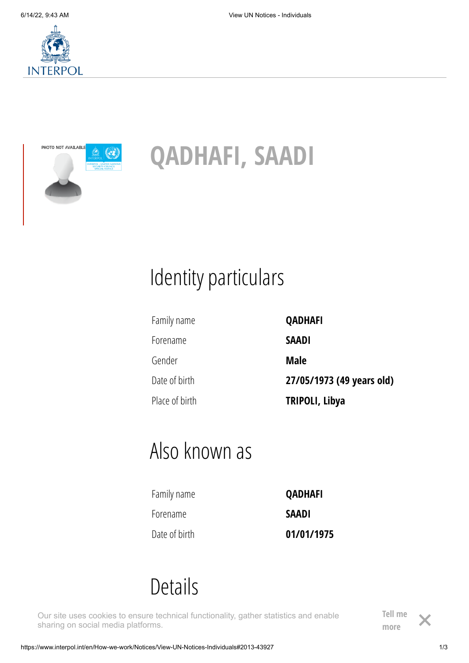



# **QADHAFI, SAADI**

# Identity particulars

Family name **QADHAFI**

Forename **SAADI** Gender **Male**

Date of birth **27/05/1973 (49 years old)** Place of birth **TRIPOLI, Libya**

## Also known as

| Family name   | <b>QADHAFI</b> |
|---------------|----------------|
| Forename      | <b>SAADI</b>   |
| Date of birth | 01/01/1975     |

### Details

Adresses **(Libya)** Our site uses cookies to ensure technical functionality, gather statistics and enable sharing on social media platforms.

**[Tell me](https://www.interpol.int/en/Who-we-are/Cookie-policy)** more

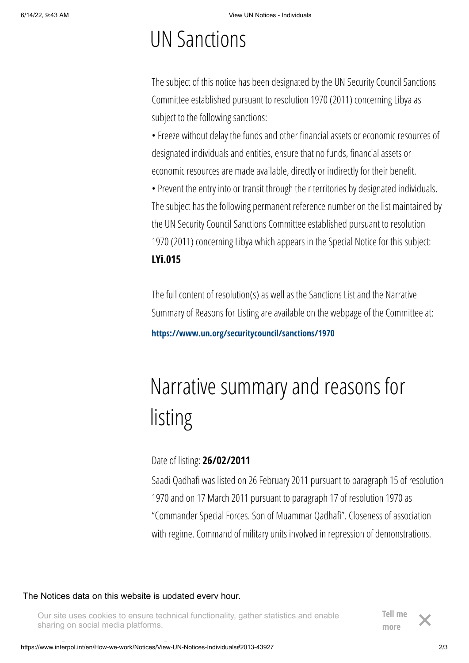## UN Sanctions

The subject of this notice has been designated by the UN Security Council Sanctions Committee established pursuant to resolution 1970 (2011) concerning Libya as subject to the following sanctions:

• Freeze without delay the funds and other financial assets or economic resources of designated individuals and entities, ensure that no funds, financial assets or economic resources are made available, directly or indirectly for their benefit.

• Prevent the entry into or transit through their territories by designated individuals. The subject has the following permanent reference number on the list maintained by the UN Security Council Sanctions Committee established pursuant to resolution 1970 (2011) concerning Libya which appears in the Special Notice for this subject: **LYi.015**

The full content of resolution(s) as well as the Sanctions List and the Narrative Summary of Reasons for Listing are available on the webpage of the Committee at:

**<https://www.un.org/securitycouncil/sanctions/1970>**

# Narrative summary and reasons for listing

Date of listing: **26/02/2011**

Saadi Qadhafi was listed on 26 February 2011 pursuant to paragraph 15 of resolution 1970 and on 17 March 2011 pursuant to paragraph 17 of resolution 1970 as "Commander Special Forces. Son of Muammar Qadhafi". Closeness of association with regime. Command of military units involved in repression of demonstrations.

#### The Notices data on this website is updated every hour.

Our site uses cookies to ensure technical functionality, gather statistics and enable sharing on social media platforms.

**[Tell me](https://www.interpol.int/en/Who-we-are/Cookie-policy)** more